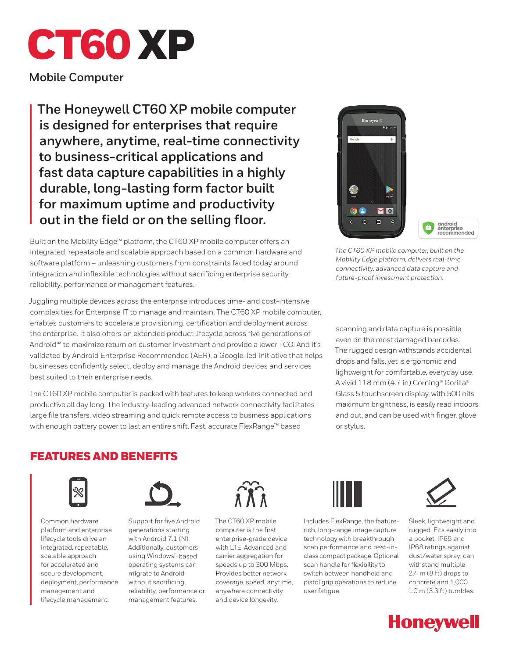# CT60 XP

**Mobile Computer**

**The Honeywell CT60 XP mobile computer is designed for enterprises that require anywhere, anytime, real-time connectivity to business-critical applications and fast data capture capabilities in a highly durable, long-lasting form factor built for maximum uptime and productivity out in the field or on the selling floor.** 

Built on the Mobility Edge™ platform, the CT60 XP mobile computer offers an integrated, repeatable and scalable approach based on a common hardware and software platform – unleashing customers from constraints faced today around integration and inflexible technologies without sacrificing enterprise security, reliability, performance or management features.

Juggling multiple devices across the enterprise introduces time- and cost-intensive complexities for Enterprise IT to manage and maintain. The CT60 XP mobile computer, enables customers to accelerate provisioning, certification and deployment across the enterprise. It also offers an extended product lifecycle across five generations of Android™ to maximize return on customer investment and provide a lower TCO. And it's validated by Android Enterprise Recommended (AER), a Google-led initiative that helps businesses confidently select, deploy and manage the Android devices and services best suited to their enterprise needs.

The CT60 XP mobile computer is packed with features to keep workers connected and productive all day long. The industry-leading advanced network connectivity facilitates large file transfers, video streaming and quick remote access to business applications with enough battery power to last an entire shift. Fast, accurate FlexRange™ based



*The CT60 XP mobile computer, built on the Mobility Edge platform, delivers real-time connectivity, advanced data capture and future-proof investment protection.*

scanning and data capture is possible even on the most damaged barcodes. The rugged design withstands accidental drops and falls, yet is ergonomic and lightweight for comfortable, everyday use. A vivid 118 mm (4.7 in) Corning® Gorilla® Glass 5 touchscreen display, with 500 nits maximum brightness, is easily read indoors and out, and can be used with finger, glove or stylus.

## FEATURES AND BENEFITS



Common hardware platform and enterprise lifecycle tools drive an integrated, repeatable, scalable approach for accelerated and secure development, deployment, performance management and lifecycle management.



Support for five Android generations starting with Android 7.1 (N). Additionally, customers using Windows® -based operating systems can migrate to Android without sacrificing reliability, performance or management features.



The CT60 XP mobile computer is the first enterprise-grade device with LTE-Advanced and carrier aggregation for speeds up to 300 Mbps. Provides better network coverage, speed, anytime, anywhere connectivity and device longevity.



Includes FlexRange, the featurerich, long-range image capture technology with breakthrough scan performance and best-inclass compact package. Optional scan handle for flexibility to switch between handheld and pistol grip operations to reduce user fatigue.



Sleek, lightweight and rugged. Fits easily into a pocket. IP65 and IP68 ratings against dust/water spray; can withstand multiple 2.4 m (8 ft) drops to concrete and 1,000 1.0 m (3.3 ft) tumbles.